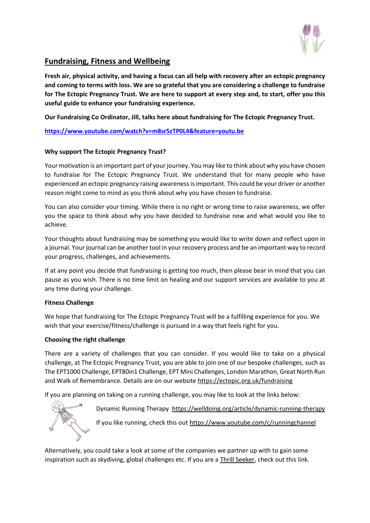

# **Fundraising, Fitness and Wellbeing**

**Fresh air, physical activity, and having a focus can all help with recovery after an ectopic pregnancy and coming to terms with loss. We are so grateful that you are considering a challenge to fundraise for The Ectopic Pregnancy Trust. We are here to support at every step and, to start, offer you this useful guide to enhance your fundraising experience.**

**Our Fundraising Co Ordinator, Jill, talks here about fundraising for The Ectopic Pregnancy Trust.** 

**<https://www.youtube.com/watch?v=m8sr5zTP0L4&feature=youtu.be>**

# **Why support The Ectopic Pregnancy Trust?**

Your motivation is an important part of your journey. You may like to think about why you have chosen to fundraise for The Ectopic Pregnancy Trust. We understand that for many people who have experienced an ectopic pregnancy raising awareness is important. This could be your driver or another reason might come to mind as you think about why you have chosen to fundraise.

You can also consider your timing. While there is no right or wrong time to raise awareness, we offer you the space to think about why you have decided to fundraise now and what would you like to achieve.

Your thoughts about fundraising may be something you would like to write down and reflect upon in a journal. Your journal can be another tool in your recovery process and be an important way to record your progress, challenges, and achievements.

If at any point you decide that fundraising is getting too much, then please bear in mind that you can pause as you wish. There is no time limit on healing and our support services are available to you at any time during your challenge.

# **Fitness Challenge**

We hope that fundraising for The Ectopic Pregnancy Trust will be a fulfilling experience for you. We wish that your exercise/fitness/challenge is pursued in a way that feels right for you.

# **Choosing the right challenge**

There are a variety of challenges that you can consider. If you would like to take on a physical challenge, at The Ectopic Pregnancy Trust, you are able to join one of our bespoke challenges, such as The EPT1000 Challenge, EPT80in1 Challenge, EPT Mini Challenges, London Marathon, Great North Run and Walk of Remembrance. Details are on our website<https://ectopic.org.uk/fundraising>

If you are planning on taking on a running challenge, you may like to look at the links below:



Dynamic Running Therapy <https://welldoing.org/article/dynamic-running-therapy> If you like running, check this out<https://www.youtube.com/c/runningchannel>

Alternatively, you could take a look at some of the companies we partner up with to gain some inspiration such as skydiving, global challenges etc. If you are a [Thrill Seeker,](https://ectopic.org.uk/fundraising-inspiration) check out this link.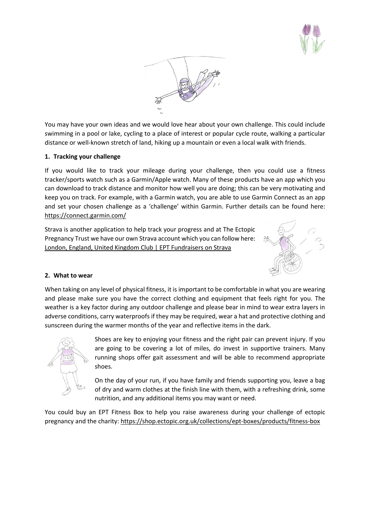



You may have your own ideas and we would love hear about your own challenge. This could include swimming in a pool or lake, cycling to a place of interest or popular cycle route, walking a particular distance or well-known stretch of land, hiking up a mountain or even a local walk with friends.

## **1. Tracking your challenge**

If you would like to track your mileage during your challenge, then you could use a fitness tracker/sports watch such as a Garmin/Apple watch. Many of these products have an app which you can download to track distance and monitor how well you are doing; this can be very motivating and keep you on track. For example, with a Garmin watch, you are able to use Garmin Connect as an app and set your chosen challenge as a 'challenge' within Garmin. Further details can be found here: <https://connect.garmin.com/>

Strava is another application to help track your progress and at The Ectopic Pregnancy Trust we have our own Strava account which you can follow here: [London, England, United Kingdom Club | EPT Fundraisers on Strava](https://www.strava.com/clubs/1028774)



#### **2. What to wear**

When taking on any level of physical fitness, it is important to be comfortable in what you are wearing and please make sure you have the correct clothing and equipment that feels right for you. The weather is a key factor during any outdoor challenge and please bear in mind to wear extra layers in adverse conditions, carry waterproofs if they may be required, wear a hat and protective clothing and sunscreen during the warmer months of the year and reflective items in the dark.



Shoes are key to enjoying your fitness and the right pair can prevent injury. If you are going to be covering a lot of miles, do invest in supportive trainers. Many running shops offer gait assessment and will be able to recommend appropriate shoes.

On the day of your run, if you have family and friends supporting you, leave a bag of dry and warm clothes at the finish line with them, with a refreshing drink, some nutrition, and any additional items you may want or need.

You could buy an EPT Fitness Box to help you raise awareness during your challenge of ectopic pregnancy and the charity:<https://shop.ectopic.org.uk/collections/ept-boxes/products/fitness-box>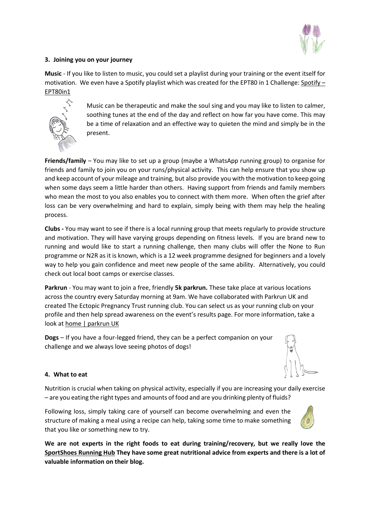

# **3. Joining you on your journey**

**Music** - If you like to listen to music, you could set a playlist during your training or the event itself for motivation. We even have a Spotify playlist which was created for the EPT80 in 1 Challenge[: Spotify](https://open.spotify.com/playlist/0SSxYawlyZWv6rEDoR3OMz?si=05BmPdEmSw2YN2JBImQRmA&nd=1) – [EPT80in1](https://open.spotify.com/playlist/0SSxYawlyZWv6rEDoR3OMz?si=05BmPdEmSw2YN2JBImQRmA&nd=1)



Music can be therapeutic and make the soul sing and you may like to listen to calmer, soothing tunes at the end of the day and reflect on how far you have come. This may be a time of relaxation and an effective way to quieten the mind and simply be in the present.

**Friends/family** – You may like to set up a group (maybe a WhatsApp running group) to organise for friends and family to join you on your runs/physical activity. This can help ensure that you show up and keep account of your mileage and training, but also provide you with the motivation to keep going when some days seem a little harder than others. Having support from friends and family members who mean the most to you also enables you to connect with them more. When often the grief after loss can be very overwhelming and hard to explain, simply being with them may help the healing process.

**Clubs -** You may want to see if there is a local running group that meets regularly to provide structure and motivation. They will have varying groups depending on fitness levels. If you are brand new to running and would like to start a running challenge, then many clubs will offer the None to Run programme or N2R as it is known, which is a 12 week programme designed for beginners and a lovely way to help you gain confidence and meet new people of the same ability. Alternatively, you could check out local boot camps or exercise classes.

**Parkrun** - You may want to join a free, friendly **5k parkrun.** These take place at various locations across the country every Saturday morning at 9am. We have collaborated with Parkrun UK and created The Ectopic Pregnancy Trust running club. You can select us as your running club on your profile and then help spread awareness on the event's results page. For more information, take a look at [home | parkrun UK](https://www.parkrun.org.uk/)

**Dogs** – If you have a four-legged friend, they can be a perfect companion on your challenge and we always love seeing photos of dogs!



# **4. What to eat**

Nutrition is crucial when taking on physical activity, especially if you are increasing your daily exercise – are you eating the right types and amounts of food and are you drinking plenty of fluids?

Following loss, simply taking care of yourself can become overwhelming and even the structure of making a meal using a recipe can help, taking some time to make something that you like or something new to try.



**We are not experts in the right foods to eat during training/recovery, but we really love the [SportShoes Running Hub](https://www.sportsshoes.com/running-hub/nutrition/) They have some great nutritional advice from experts and there is a lot of valuable information on their blog.**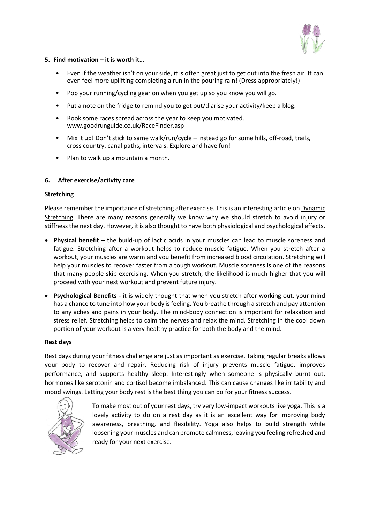

## **5. Find motivation – it is worth it…**

- Even if the weather isn't on your side, it is often great just to get out into the fresh air. It can even feel more uplifting completing a run in the pouring rain! (Dress appropriately!)
- Pop your running/cycling gear on when you get up so you know you will go.
- Put a note on the fridge to remind you to get out/diarise your activity/keep a blog.
- Book some races spread across the year to keep you motivated. [www.goodrunguide.co.uk/RaceFinder.asp](http://www.goodrunguide.co.uk/RaceFinder.asp)
- Mix it up! Don't stick to same walk/run/cycle instead go for some hills, off-road, trails, cross country, canal paths, intervals. Explore and have fun!
- Plan to walk up a mountain a month.

## **6. After exercise/activity care**

#### **Stretching**

Please remember the importance of stretching after exercise. This is an interesting article on Dynamic [Stretching.](https://www.stretching-exercises-guide.com/dynamic-stretching.html) There are many reasons generally we know why we should stretch to avoid injury or stiffness the next day. However, it is also thought to have both physiological and psychological effects.

- **Physical benefit –** the build-up of lactic acids in your muscles can lead to muscle soreness and fatigue. Stretching after a workout helps to reduce muscle fatigue. When you stretch after a workout, your muscles are warm and you benefit from increased blood circulation. Stretching will help your muscles to recover faster from a tough workout. Muscle soreness is one of the reasons that many people skip exercising. When you stretch, the likelihood is much higher that you will proceed with your next workout and prevent future injury.
- **Psychological Benefits -** it is widely thought that when you stretch after working out, your mind has a chance to tune into how your body is feeling. You breathe through a stretch and pay attention to any aches and pains in your body. The mind-body connection is important for relaxation and stress relief. Stretching helps to calm the nerves and relax the mind. Stretching in the cool down portion of your workout is a very healthy practice for both the body and the mind.

#### **Rest days**

Rest days during your fitness challenge are just as important as exercise. Taking regular breaks allows your body to recover and repair. Reducing risk of injury prevents muscle fatigue, improves performance, and supports healthy sleep. Interestingly when someone is physically burnt out, hormones like serotonin and cortisol become imbalanced. This can cause changes like irritability and mood swings. Letting your body rest is the best thing you can do for your fitness success.



To make most out of your rest days, try very low-impact workouts like yoga. This is a lovely activity to do on a rest day as it is an excellent way for improving body awareness, breathing, and flexibility. Yoga also helps to build strength while loosening your muscles and can promote calmness, leaving you feeling refreshed and ready for your next exercise.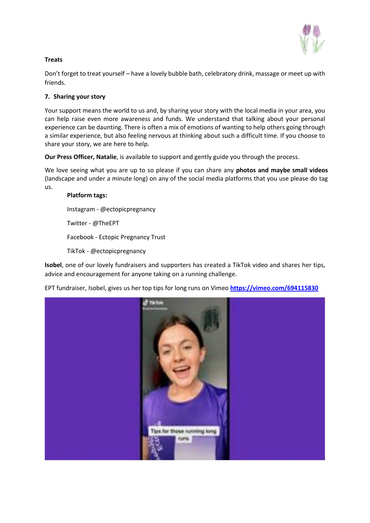

# **Treats**

Don't forget to treat yourself – have a lovely bubble bath, celebratory drink, massage or meet up with friends.

# **7. Sharing your story**

Your support means the world to us and, by sharing your story with the local media in your area, you can help raise even more awareness and funds. We understand that talking about your personal experience can be daunting. There is often a mix of emotions of wanting to help others going through a similar experience, but also feeling nervous at thinking about such a difficult time. If you choose to share your story, we are here to help.

**Our Press Officer, Natalie**, is available to support and gently guide you through the process.

We love seeing what you are up to so please if you can share any **photos and maybe small videos** (landscape and under a minute long) on any of the social media platforms that you use please do tag us.

# **Platform tags:**

Instagram - @ectopicpregnancy

Twitter - @TheEPT

Facebook - Ectopic Pregnancy Trust

TikTok - @ectopicpregnancy

**Isobel**, one of our lovely fundraisers and supporters has created a TikTok video and shares her tips, advice and encouragement for anyone taking on a running challenge.

EPT fundraiser, Isobel, gives us her top tips for long runs on Vimeo **<https://vimeo.com/694115830>**

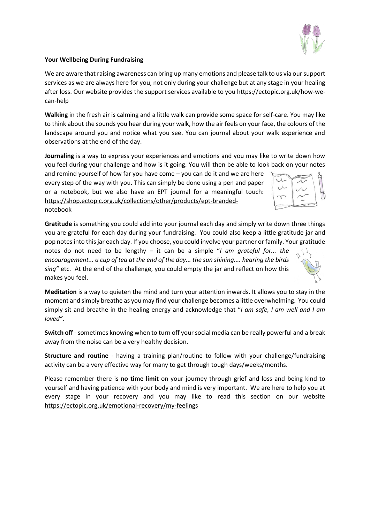

## **Your Wellbeing During Fundraising**

We are aware that raising awareness can bring up many emotions and please talk to us via our support services as we are always here for you, not only during your challenge but at any stage in your healing after loss. Our website provides the support services available to you [https://ectopic.org.uk/how-we](https://ectopic.org.uk/how-we-can-help)[can-help](https://ectopic.org.uk/how-we-can-help)

**Walking** in the fresh air is calming and a little walk can provide some space for self-care. You may like to think about the sounds you hear during your walk, how the air feels on your face, the colours of the landscape around you and notice what you see. You can journal about your walk experience and observations at the end of the day.

**Journaling** is a way to express your experiences and emotions and you may like to write down how you feel during your challenge and how is it going. You will then be able to look back on your notes

and remind yourself of how far you have come – you can do it and we are here every step of the way with you. This can simply be done using a pen and paper or a notebook, but we also have an EPT journal for a meaningful touch: [https://shop.ectopic.org.uk/collections/other/products/ept-branded](https://shop.ectopic.org.uk/collections/other/products/ept-branded-notebook)[notebook](https://shop.ectopic.org.uk/collections/other/products/ept-branded-notebook)

**Gratitude** is something you could add into your journal each day and simply write down three things you are grateful for each day during your fundraising. You could also keep a little gratitude jar and pop notes into this jar each day. If you choose, you could involve your partner or family. Your gratitude

notes do not need to be lengthy – it can be a simple "*I am grateful for... the encouragement... a cup of tea at the end of the day... the sun shining.... hearing the birds sing"* etc. At the end of the challenge, you could empty the jar and reflect on how this makes you feel.

**Meditation** is a way to quieten the mind and turn your attention inwards. It allows you to stay in the moment and simply breathe as you may find your challenge becomes a little overwhelming. You could simply sit and breathe in the healing energy and acknowledge that "*I am safe, I am well and I am loved"*.

**Switch off** -sometimes knowing when to turn off your social media can be really powerful and a break away from the noise can be a very healthy decision.

**Structure and routine** - having a training plan/routine to follow with your challenge/fundraising activity can be a very effective way for many to get through tough days/weeks/months.

Please remember there is **no time limit** on your journey through grief and loss and being kind to yourself and having patience with your body and mind is very important. We are here to help you at every stage in your recovery and you may like to read this section on our website <https://ectopic.org.uk/emotional-recovery/my-feelings>

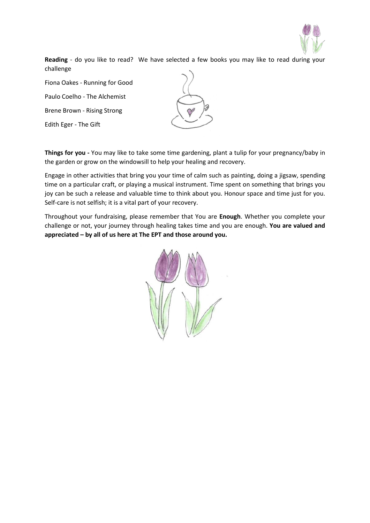

**Reading** - do you like to read? We have selected a few books you may like to read during your challenge

Fiona Oakes - Running for Good

Paulo Coelho - The Alchemist

Brene Brown - Rising Strong

Edith Eger - The Gift

**Things for you -** You may like to take some time gardening, plant a tulip for your pregnancy/baby in the garden or grow on the windowsill to help your healing and recovery.

Engage in other activities that bring you your time of calm such as painting, doing a jigsaw, spending time on a particular craft, or playing a musical instrument. Time spent on something that brings you joy can be such a release and valuable time to think about you. Honour space and time just for you. Self-care is not selfish; it is a vital part of your recovery.

Throughout your fundraising, please remember that You are **Enough**. Whether you complete your challenge or not, your journey through healing takes time and you are enough. **You are valued and appreciated – by all of us here at The EPT and those around you.**